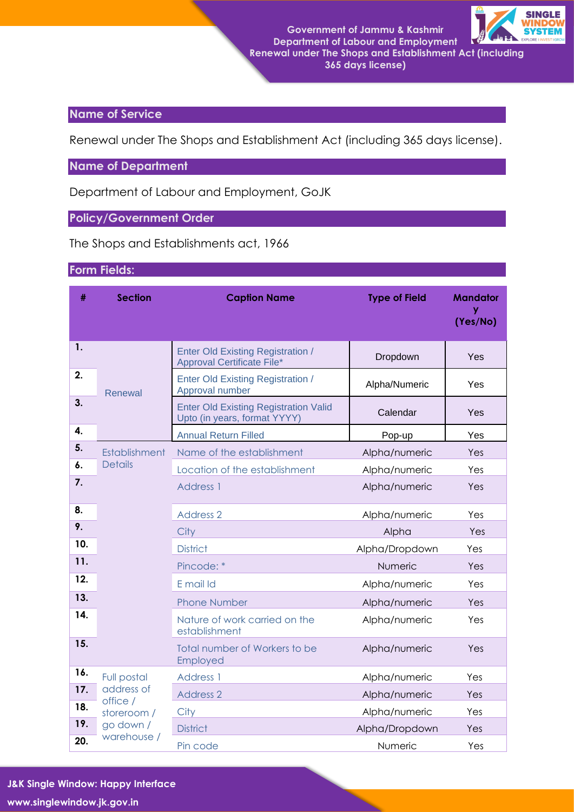**Government of Jammu & Kashmir Department of Labour and Employment Renewal under The Shops and Establishment Act (including 365 days license)**



## **Name of Service**

Renewal under The Shops and Establishment Act (including 365 days license).

**Name of Department**

Department of Labour and Employment, GoJK

## **Policy/Government Order**

The Shops and Establishments act, 1966

## **Form Fields:**

| #   | <b>Section</b>         | <b>Caption Name</b>                                                           | <b>Type of Field</b> | <b>Mandator</b><br>y<br>(Yes/No) |  |  |
|-----|------------------------|-------------------------------------------------------------------------------|----------------------|----------------------------------|--|--|
| 1.  |                        | <b>Enter Old Existing Registration /</b><br><b>Approval Certificate File*</b> | Dropdown             | Yes                              |  |  |
| 2.  | Renewal                | <b>Enter Old Existing Registration /</b><br>Approval number                   | Alpha/Numeric        | Yes                              |  |  |
| 3.  |                        | <b>Enter Old Existing Registration Valid</b><br>Upto (in years, format YYYY)  | Calendar             | Yes                              |  |  |
| 4.  |                        | <b>Annual Return Filled</b>                                                   | Pop-up               | Yes                              |  |  |
| 5.  | <b>Establishment</b>   | Name of the establishment                                                     | Alpha/numeric        | Yes                              |  |  |
| 6.  | <b>Details</b>         | Location of the establishment                                                 | Alpha/numeric        | Yes                              |  |  |
| 7.  |                        | Address 1                                                                     | Alpha/numeric        | Yes                              |  |  |
| 8.  |                        | Address 2                                                                     | Alpha/numeric        | Yes                              |  |  |
| 9.  |                        | City                                                                          | Alpha                | Yes                              |  |  |
| 10. |                        | <b>District</b>                                                               | Alpha/Dropdown       | Yes                              |  |  |
| 11. |                        | Pincode: *                                                                    | Numeric              | Yes                              |  |  |
| 12. |                        | E mail Id                                                                     | Alpha/numeric        | Yes                              |  |  |
| 13. |                        | <b>Phone Number</b>                                                           | Alpha/numeric        | Yes                              |  |  |
| 14. |                        | Nature of work carried on the<br>establishment                                | Alpha/numeric        | Yes                              |  |  |
| 15. |                        | Total number of Workers to be<br>Employed                                     | Alpha/numeric        | Yes                              |  |  |
| 16. | Full postal            | Address 1                                                                     | Alpha/numeric        | Yes                              |  |  |
| 17. | address of<br>office / | <b>Address 2</b>                                                              | Alpha/numeric        | Yes                              |  |  |
| 18. | storeroom /            | City                                                                          | Alpha/numeric        | Yes                              |  |  |
| 19. | go down /              | <b>District</b>                                                               | Alpha/Dropdown       | Yes                              |  |  |
| 20. | warehouse /            | Pin code                                                                      | Numeric              | Yes                              |  |  |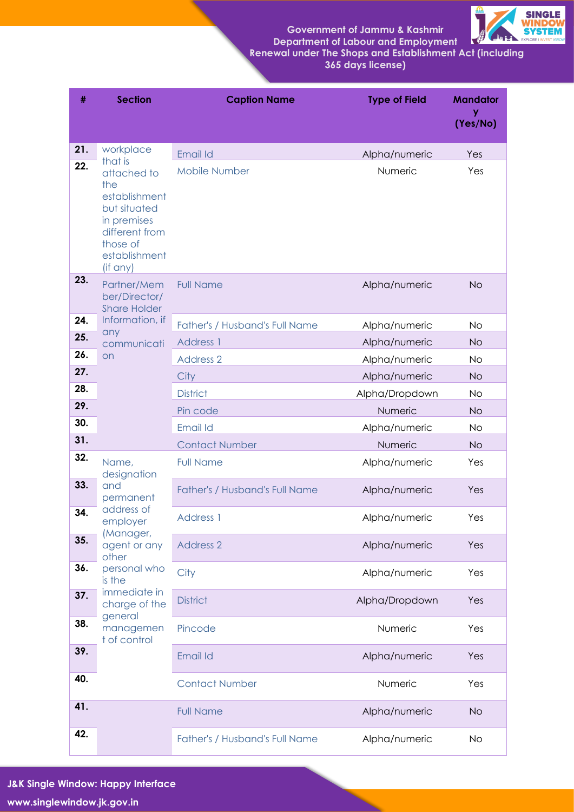**Government of Jammu & Kashmir Department of Labour and Employment**



 **Renewal under The Shops and Establishment Act (including 365 days license)**

| #   | <b>Section</b>                                                                                                                | <b>Caption Name</b>            | <b>Type of Field</b> | <b>Mandator</b><br>у<br>(Yes/No) |
|-----|-------------------------------------------------------------------------------------------------------------------------------|--------------------------------|----------------------|----------------------------------|
| 21. | workplace<br>that is                                                                                                          | Email Id                       | Alpha/numeric        | Yes                              |
| 22. | attached to<br>the<br>establishment<br>but situated<br>in premises<br>different from<br>those of<br>establishment<br>(if any) | <b>Mobile Number</b>           | Numeric              | Yes                              |
| 23. | Partner/Mem<br>ber/Director/<br><b>Share Holder</b>                                                                           | <b>Full Name</b>               | Alpha/numeric        | <b>No</b>                        |
| 24. | Information, if<br>any                                                                                                        | Father's / Husband's Full Name | Alpha/numeric        | <b>No</b>                        |
| 25. | communicati                                                                                                                   | Address 1                      | Alpha/numeric        | <b>No</b>                        |
| 26. | <b>on</b>                                                                                                                     | <b>Address 2</b>               | Alpha/numeric        | No                               |
| 27. |                                                                                                                               | City                           | Alpha/numeric        | <b>No</b>                        |
| 28. |                                                                                                                               | <b>District</b>                | Alpha/Dropdown       | <b>No</b>                        |
| 29. |                                                                                                                               | Pin code                       | Numeric              | <b>No</b>                        |
| 30. |                                                                                                                               | Email Id                       | Alpha/numeric        | No                               |
| 31. |                                                                                                                               | <b>Contact Number</b>          | Numeric              | <b>No</b>                        |
| 32. | Name,<br>designation                                                                                                          | <b>Full Name</b>               | Alpha/numeric        | Yes                              |
| 33. | and<br>permanent<br>address of                                                                                                | Father's / Husband's Full Name | Alpha/numeric        | Yes                              |
| 34. | employer<br>(Manager,                                                                                                         | <b>Address 1</b>               | Alpha/numeric        | Yes                              |
| 35. | agent or any<br>other                                                                                                         | <b>Address 2</b>               | Alpha/numeric        | Yes                              |
| 36. | personal who<br>is the                                                                                                        | City                           | Alpha/numeric        | Yes                              |
| 37. | immediate in<br>charge of the<br>general                                                                                      | <b>District</b>                | Alpha/Dropdown       | Yes                              |
| 38. | managemen<br>t of control                                                                                                     | Pincode                        | Numeric              | Yes                              |
| 39. |                                                                                                                               | Email Id                       | Alpha/numeric        | Yes                              |
| 40. |                                                                                                                               | <b>Contact Number</b>          | Numeric              | Yes                              |
| 41. |                                                                                                                               | <b>Full Name</b>               | Alpha/numeric        | <b>No</b>                        |
| 42. |                                                                                                                               | Father's / Husband's Full Name | Alpha/numeric        | No.                              |

**J&K Single Window: Happy Interface**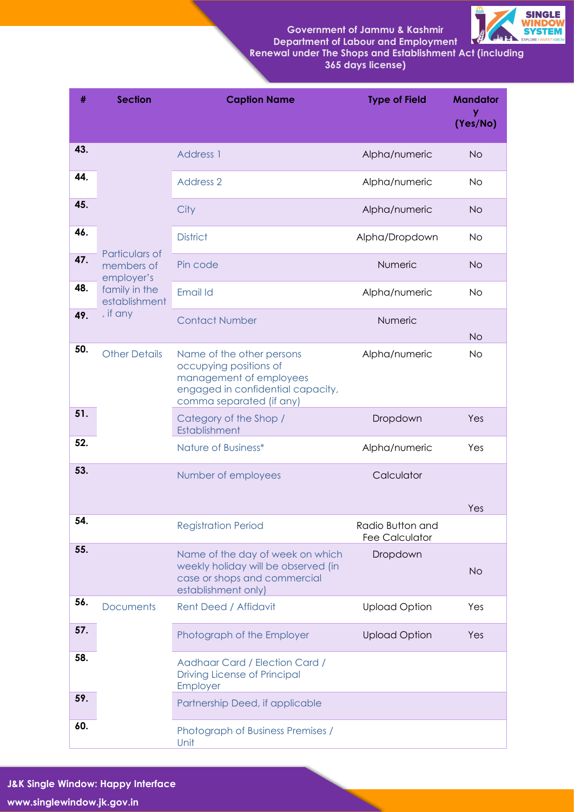**Government of Jammu & Kashmir Department of Labour and Employment**



 **Renewal under The Shops and Establishment Act (including 365 days license)**

| $\#$ | <b>Section</b>                 | <b>Caption Name</b>                                                                                                                             | <b>Type of Field</b>                      | <b>Mandator</b><br>у<br>(Yes/No) |
|------|--------------------------------|-------------------------------------------------------------------------------------------------------------------------------------------------|-------------------------------------------|----------------------------------|
| 43.  |                                | <b>Address 1</b>                                                                                                                                | Alpha/numeric                             | <b>No</b>                        |
| 44.  |                                | <b>Address 2</b>                                                                                                                                | Alpha/numeric                             | <b>No</b>                        |
| 45.  |                                | City                                                                                                                                            | Alpha/numeric                             | <b>No</b>                        |
| 46.  | Particulars of                 | <b>District</b>                                                                                                                                 | Alpha/Dropdown                            | <b>No</b>                        |
| 47.  | members of<br>employer's       | Pin code                                                                                                                                        | Numeric                                   | <b>No</b>                        |
| 48.  | family in the<br>establishment | Email Id                                                                                                                                        | Alpha/numeric                             | <b>No</b>                        |
| 49.  | , if any                       | <b>Contact Number</b>                                                                                                                           | Numeric                                   | <b>No</b>                        |
| 50.  | <b>Other Details</b>           | Name of the other persons<br>occupying positions of<br>management of employees<br>engaged in confidential capacity,<br>comma separated (if any) | Alpha/numeric                             | <b>No</b>                        |
| 51.  |                                | Category of the Shop /<br>Establishment                                                                                                         | Dropdown                                  | Yes                              |
| 52.  |                                | Nature of Business*                                                                                                                             | Alpha/numeric                             | Yes                              |
| 53.  |                                | Number of employees                                                                                                                             | Calculator                                | Yes                              |
| 54.  |                                | <b>Registration Period</b>                                                                                                                      | Radio Button and<br><b>Fee Calculator</b> |                                  |
| 55.  |                                | Name of the day of week on which<br>weekly holiday will be observed (in<br>case or shops and commercial<br>establishment only)                  | Dropdown                                  | <b>No</b>                        |
| 56.  | <b>Documents</b>               | <b>Rent Deed / Affidavit</b>                                                                                                                    | <b>Upload Option</b>                      | Yes                              |
| 57.  |                                | Photograph of the Employer                                                                                                                      | <b>Upload Option</b>                      | Yes                              |
| 58.  |                                | Aadhaar Card / Election Card /<br>Driving License of Principal<br>Employer                                                                      |                                           |                                  |
| 59.  |                                | Partnership Deed, if applicable                                                                                                                 |                                           |                                  |
| 60.  |                                | Photograph of Business Premises /<br>Unit                                                                                                       |                                           |                                  |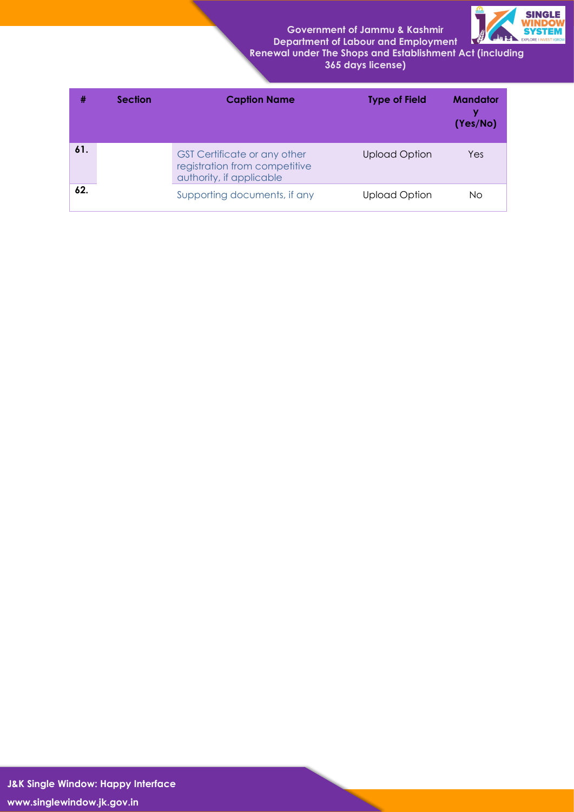**Government of Jammu & Kashmir Department of Labour and Employment**



 **Renewal under The Shops and Establishment Act (including 365 days license)**

| #   | <b>Caption Name</b><br><b>Section</b> |                                                                                                  | <b>Type of Field</b> | <b>Mandator</b><br>v<br>(Yes/No) |
|-----|---------------------------------------|--------------------------------------------------------------------------------------------------|----------------------|----------------------------------|
| 61. |                                       | <b>GST Certificate or any other</b><br>registration from competitive<br>authority, if applicable | <b>Upload Option</b> | Yes                              |
| 62. |                                       | Supporting documents, if any                                                                     | <b>Upload Option</b> | No.                              |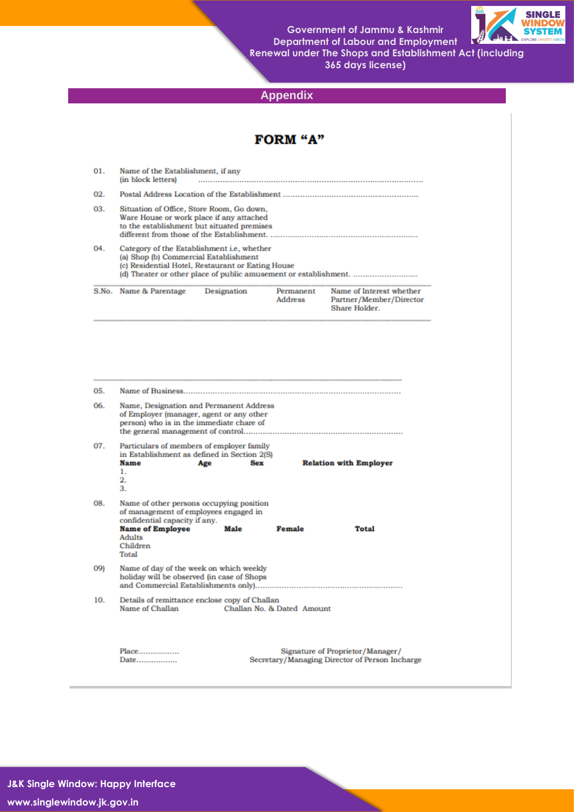**Government of Jammu & Kashmir Department of Labour and Employment Renewal under The Shops and Establishment Act (including 365 days license)**



**Appendix**

| 01.               | Name of the Establishment, if any<br>(in block letters)                                                                                                                                                      |                   |                             |                                                                      |  |  |  |  |  |
|-------------------|--------------------------------------------------------------------------------------------------------------------------------------------------------------------------------------------------------------|-------------------|-----------------------------|----------------------------------------------------------------------|--|--|--|--|--|
| 02.               |                                                                                                                                                                                                              |                   |                             |                                                                      |  |  |  |  |  |
| 03.               | Situation of Office, Store Room, Go down,<br>Ware House or work place if any attached<br>to the establishment but situated premises                                                                          |                   |                             |                                                                      |  |  |  |  |  |
| 04.               | Category of the Establishment i.e, whether<br>(a) Shop (b) Commercial Establishment<br>(c) Residential Hotel, Restaurant or Eating House<br>(d) Theater or other place of public amusement or establishment. |                   |                             |                                                                      |  |  |  |  |  |
|                   | S.No. Name & Parentage                                                                                                                                                                                       | Designation       | Permanent<br><b>Address</b> | Name of Interest whether<br>Partner/Member/Director<br>Share Holder. |  |  |  |  |  |
| 05.<br>06.        | Name, Designation and Permanent Address<br>of Employer (manager, agent or any other<br>person) who is in the immediate chare of                                                                              |                   |                             |                                                                      |  |  |  |  |  |
| 07.               | Particulars of members of employer family<br>in Establishment as defined in Section 2(S)<br><b>Name</b>                                                                                                      | <b>Sex</b><br>Age |                             | <b>Relation with Employer</b>                                        |  |  |  |  |  |
|                   | 1.<br>2.<br>З.                                                                                                                                                                                               |                   |                             |                                                                      |  |  |  |  |  |
|                   | Name of other persons occupying position<br>of management of employees engaged in<br>confidential capacity if any.<br><b>Name of Employee</b><br>Adults<br>Children<br>Total                                 | Male              | Female                      | <b>Total</b>                                                         |  |  |  |  |  |
|                   | Name of day of the week on which weekly<br>holiday will be observed (in case of Shops                                                                                                                        |                   |                             |                                                                      |  |  |  |  |  |
| 08.<br>09)<br>10. | Details of remittance enclose copy of Challan<br>Name of Challan                                                                                                                                             |                   | Challan No. & Dated Amount  |                                                                      |  |  |  |  |  |